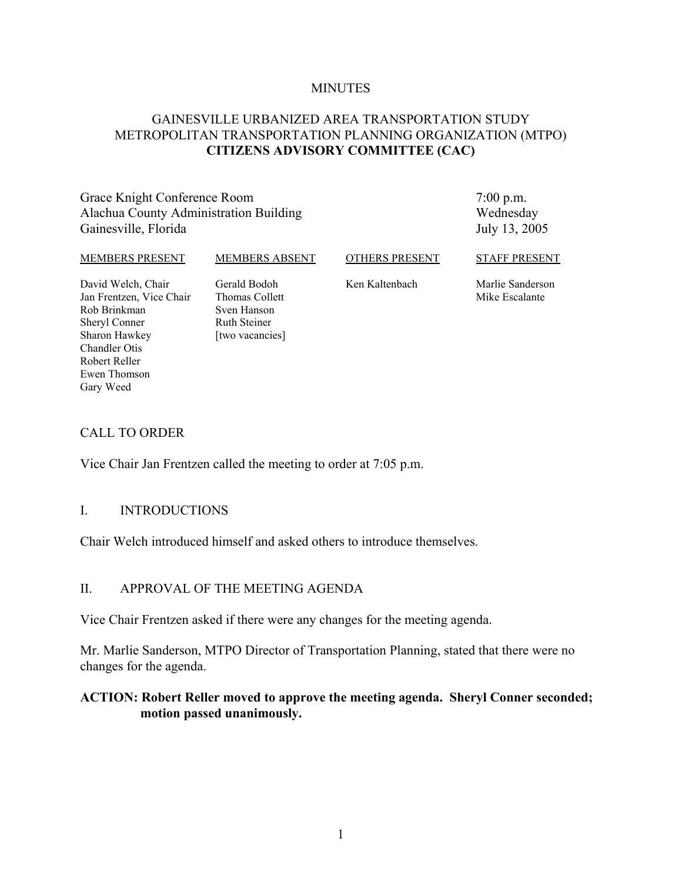#### **MINUTES**

### GAINESVILLE URBANIZED AREA TRANSPORTATION STUDY METROPOLITAN TRANSPORTATION PLANNING ORGANIZATION (MTPO) **CITIZENS ADVISORY COMMITTEE (CAC)**

Grace Knight Conference Room Alachua County Administration Building Gainesville, Florida

7:00 p.m. Wednesday July 13, 2005

#### MEMBERS PRESENT

MEMBERS ABSENT

OTHERS PRESENT

STAFF PRESENT

David Welch, Chair Jan Frentzen, Vice Chair Rob Brinkman Sheryl Conner Sharon Hawkey Chandler Otis Robert Reller Ewen Thomson Gary Weed

Gerald Bodoh Thomas Collett Sven Hanson Ruth Steiner [two vacancies] Ken Kaltenbach

Marlie Sanderson Mike Escalante

#### CALL TO ORDER

Vice Chair Jan Frentzen called the meeting to order at 7:05 p.m.

#### I. INTRODUCTIONS

Chair Welch introduced himself and asked others to introduce themselves.

### II. APPROVAL OF THE MEETING AGENDA

Vice Chair Frentzen asked if there were any changes for the meeting agenda.

Mr. Marlie Sanderson, MTPO Director of Transportation Planning, stated that there were no changes for the agenda.

### **ACTION: Robert Reller moved to approve the meeting agenda. Sheryl Conner seconded; motion passed unanimously.**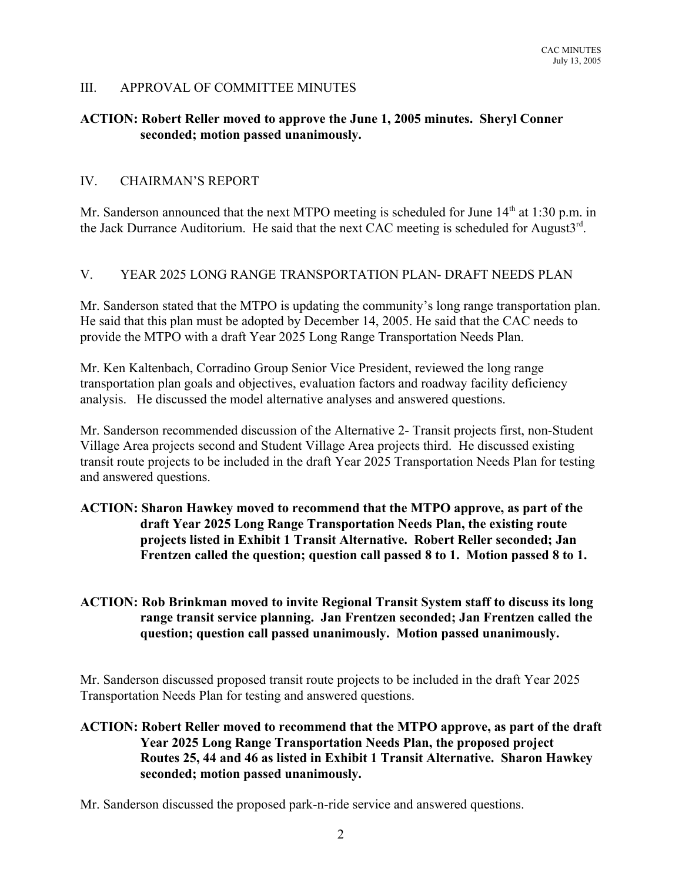### III. APPROVAL OF COMMITTEE MINUTES

### **ACTION: Robert Reller moved to approve the June 1, 2005 minutes. Sheryl Conner seconded; motion passed unanimously.**

#### IV. CHAIRMAN'S REPORT

Mr. Sanderson announced that the next MTPO meeting is scheduled for June  $14<sup>th</sup>$  at 1:30 p.m. in the Jack Durrance Auditorium. He said that the next CAC meeting is scheduled for August3<sup>rd</sup>.

### V. YEAR 2025 LONG RANGE TRANSPORTATION PLAN- DRAFT NEEDS PLAN

Mr. Sanderson stated that the MTPO is updating the community's long range transportation plan. He said that this plan must be adopted by December 14, 2005. He said that the CAC needs to provide the MTPO with a draft Year 2025 Long Range Transportation Needs Plan.

Mr. Ken Kaltenbach, Corradino Group Senior Vice President, reviewed the long range transportation plan goals and objectives, evaluation factors and roadway facility deficiency analysis. He discussed the model alternative analyses and answered questions.

Mr. Sanderson recommended discussion of the Alternative 2- Transit projects first, non-Student Village Area projects second and Student Village Area projects third. He discussed existing transit route projects to be included in the draft Year 2025 Transportation Needs Plan for testing and answered questions.

### **ACTION: Sharon Hawkey moved to recommend that the MTPO approve, as part of the draft Year 2025 Long Range Transportation Needs Plan, the existing route projects listed in Exhibit 1 Transit Alternative. Robert Reller seconded; Jan Frentzen called the question; question call passed 8 to 1. Motion passed 8 to 1.**

### **ACTION: Rob Brinkman moved to invite Regional Transit System staff to discuss its long range transit service planning. Jan Frentzen seconded; Jan Frentzen called the question; question call passed unanimously. Motion passed unanimously.**

Mr. Sanderson discussed proposed transit route projects to be included in the draft Year 2025 Transportation Needs Plan for testing and answered questions.

## **ACTION: Robert Reller moved to recommend that the MTPO approve, as part of the draft Year 2025 Long Range Transportation Needs Plan, the proposed project Routes 25, 44 and 46 as listed in Exhibit 1 Transit Alternative. Sharon Hawkey seconded; motion passed unanimously.**

Mr. Sanderson discussed the proposed park-n-ride service and answered questions.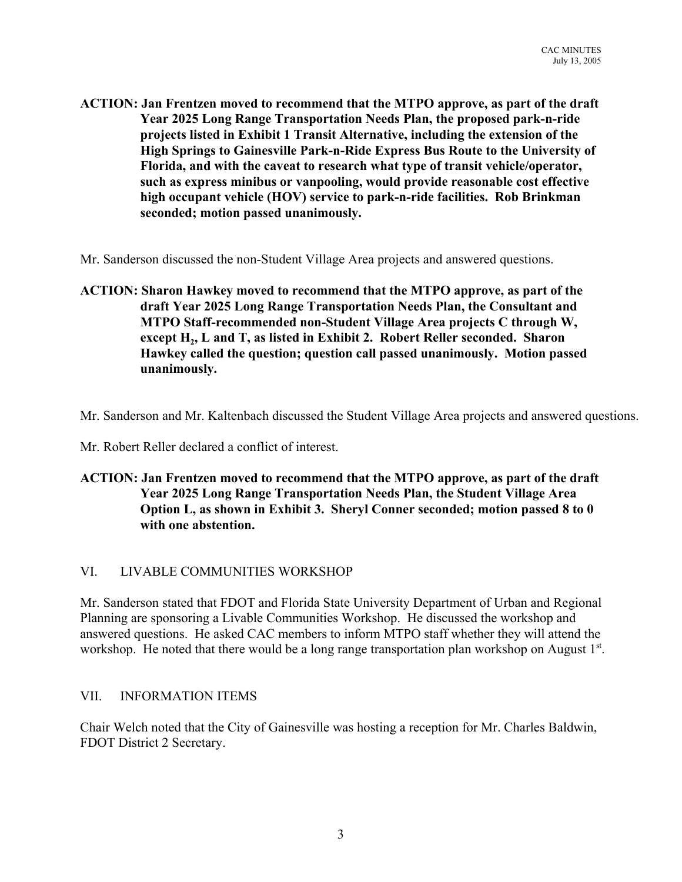**ACTION: Jan Frentzen moved to recommend that the MTPO approve, as part of the draft Year 2025 Long Range Transportation Needs Plan, the proposed park-n-ride projects listed in Exhibit 1 Transit Alternative, including the extension of the High Springs to Gainesville Park-n-Ride Express Bus Route to the University of Florida, and with the caveat to research what type of transit vehicle/operator, such as express minibus or vanpooling, would provide reasonable cost effective high occupant vehicle (HOV) service to park-n-ride facilities. Rob Brinkman seconded; motion passed unanimously.**

Mr. Sanderson discussed the non-Student Village Area projects and answered questions.

**ACTION: Sharon Hawkey moved to recommend that the MTPO approve, as part of the draft Year 2025 Long Range Transportation Needs Plan, the Consultant and MTPO Staff-recommended non-Student Village Area projects C through W,** except H<sub>2</sub>, L and T, as listed in Exhibit 2. Robert Reller seconded. Sharon **Hawkey called the question; question call passed unanimously. Motion passed unanimously.**

Mr. Sanderson and Mr. Kaltenbach discussed the Student Village Area projects and answered questions.

Mr. Robert Reller declared a conflict of interest.

**ACTION: Jan Frentzen moved to recommend that the MTPO approve, as part of the draft Year 2025 Long Range Transportation Needs Plan, the Student Village Area Option L, as shown in Exhibit 3. Sheryl Conner seconded; motion passed 8 to 0 with one abstention.**

### VI. LIVABLE COMMUNITIES WORKSHOP

Mr. Sanderson stated that FDOT and Florida State University Department of Urban and Regional Planning are sponsoring a Livable Communities Workshop. He discussed the workshop and answered questions. He asked CAC members to inform MTPO staff whether they will attend the workshop. He noted that there would be a long range transportation plan workshop on August 1<sup>st</sup>.

### VII. INFORMATION ITEMS

Chair Welch noted that the City of Gainesville was hosting a reception for Mr. Charles Baldwin, FDOT District 2 Secretary.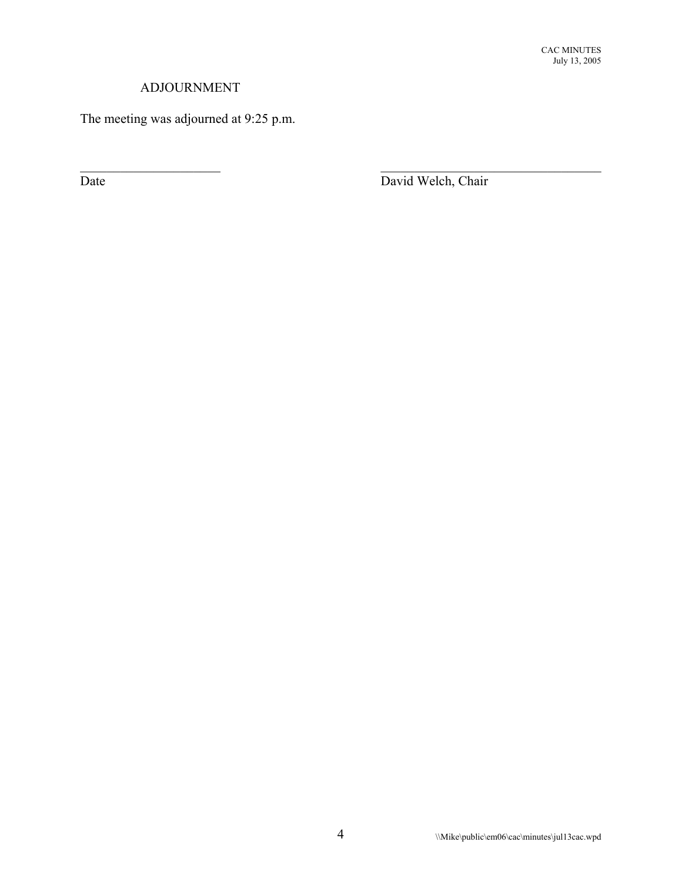## ADJOURNMENT

The meeting was adjourned at 9:25 p.m.

Date David Welch, Chair

 $\mathcal{L}_\text{max}$  and the contract of the contract of the contract of the contract of the contract of the contract of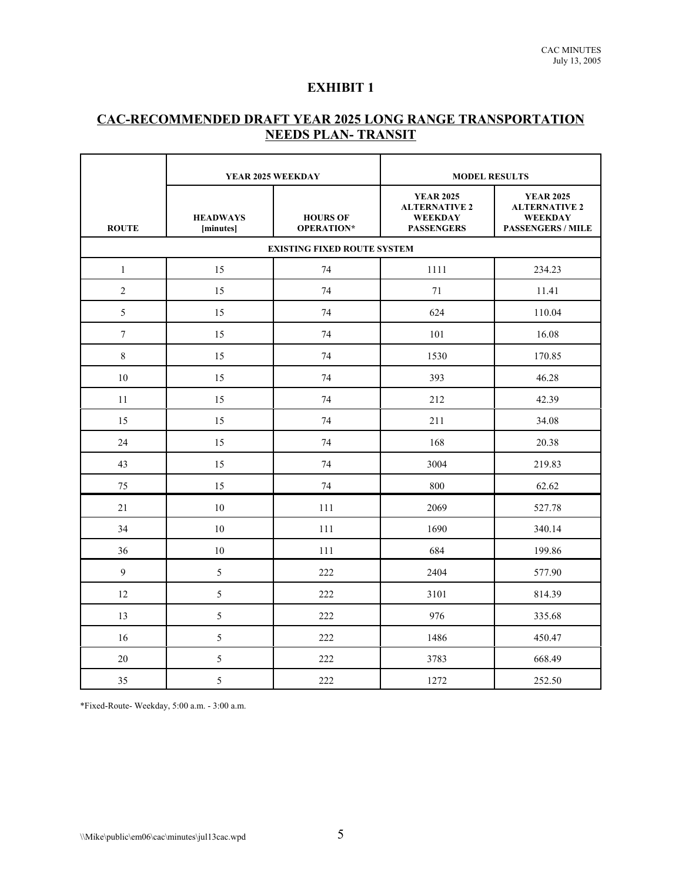### **EXHIBIT 1**

## **CAC-RECOMMENDED DRAFT YEAR 2025 LONG RANGE TRANSPORTATION NEEDS PLAN- TRANSIT**

|                                    |                              | <b>MODEL RESULTS</b><br>YEAR 2025 WEEKDAY |                                                                                 |                                                                                        |  |  |  |
|------------------------------------|------------------------------|-------------------------------------------|---------------------------------------------------------------------------------|----------------------------------------------------------------------------------------|--|--|--|
| <b>ROUTE</b>                       | <b>HEADWAYS</b><br>[minutes] | <b>HOURS OF</b><br>OPERATION*             | <b>YEAR 2025</b><br><b>ALTERNATIVE 2</b><br><b>WEEKDAY</b><br><b>PASSENGERS</b> | <b>YEAR 2025</b><br><b>ALTERNATIVE 2</b><br><b>WEEKDAY</b><br><b>PASSENGERS / MILE</b> |  |  |  |
| <b>EXISTING FIXED ROUTE SYSTEM</b> |                              |                                           |                                                                                 |                                                                                        |  |  |  |
| $\mathbf{1}$                       | 15                           | 74                                        | 1111                                                                            | 234.23                                                                                 |  |  |  |
| $\overline{2}$                     | 15                           | 74                                        | 71                                                                              | 11.41                                                                                  |  |  |  |
| 5                                  | 15                           | 74                                        | 624                                                                             | 110.04                                                                                 |  |  |  |
| $\overline{7}$                     | 15                           | 74                                        | 101                                                                             | 16.08                                                                                  |  |  |  |
| 8                                  | 15                           | 74                                        | 1530                                                                            | 170.85                                                                                 |  |  |  |
| 10                                 | 15                           | 74                                        | 393                                                                             | 46.28                                                                                  |  |  |  |
| 11                                 | 15                           | 74                                        | 212                                                                             | 42.39                                                                                  |  |  |  |
| 15                                 | 15                           | 74                                        | 211                                                                             | 34.08                                                                                  |  |  |  |
| 24                                 | 15                           | 74                                        | 168                                                                             | 20.38                                                                                  |  |  |  |
| 43                                 | 15                           | 74                                        | 3004                                                                            | 219.83                                                                                 |  |  |  |
| 75                                 | 15                           | 74                                        | 800                                                                             | 62.62                                                                                  |  |  |  |
| 21                                 | 10                           | 111                                       | 2069                                                                            | 527.78                                                                                 |  |  |  |
| 34                                 | 10                           | 111                                       | 1690                                                                            | 340.14                                                                                 |  |  |  |
| 36                                 | 10                           | 111                                       | 684                                                                             | 199.86                                                                                 |  |  |  |
| 9                                  | 5                            | 222                                       | 2404                                                                            | 577.90                                                                                 |  |  |  |
| 12                                 | 5                            | 222                                       | 3101                                                                            | 814.39                                                                                 |  |  |  |
| 13                                 | 5                            | 222                                       | 976                                                                             | 335.68                                                                                 |  |  |  |
| 16                                 | 5                            | 222                                       | 1486                                                                            | 450.47                                                                                 |  |  |  |
| 20                                 | 5                            | 222                                       | 3783                                                                            | 668.49                                                                                 |  |  |  |
| 35                                 | 5                            | 222                                       | 1272                                                                            | 252.50                                                                                 |  |  |  |

\*Fixed-Route- Weekday, 5:00 a.m. - 3:00 a.m.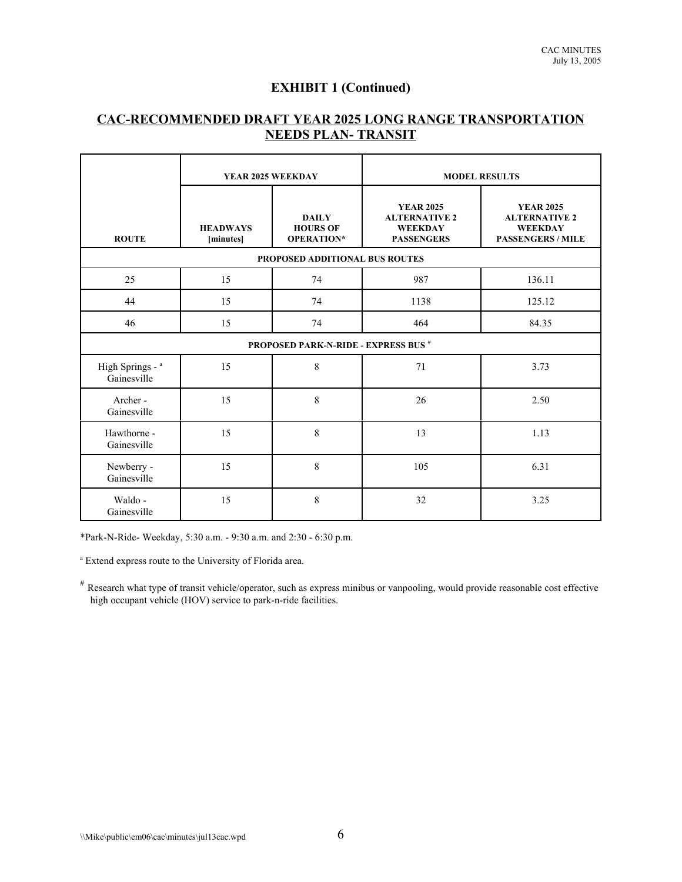## **EXHIBIT 1 (Continued)**

## **CAC-RECOMMENDED DRAFT YEAR 2025 LONG RANGE TRANSPORTATION NEEDS PLAN- TRANSIT**

|                                             | YEAR 2025 WEEKDAY              |                                                      | <b>MODEL RESULTS</b>                                                            |                                                                                        |  |  |  |
|---------------------------------------------|--------------------------------|------------------------------------------------------|---------------------------------------------------------------------------------|----------------------------------------------------------------------------------------|--|--|--|
| <b>ROUTE</b>                                | <b>HEADWAYS</b><br>[minutes]   | <b>DAILY</b><br><b>HOURS OF</b><br><b>OPERATION*</b> | <b>YEAR 2025</b><br><b>ALTERNATIVE 2</b><br><b>WEEKDAY</b><br><b>PASSENGERS</b> | <b>YEAR 2025</b><br><b>ALTERNATIVE 2</b><br><b>WEEKDAY</b><br><b>PASSENGERS / MILE</b> |  |  |  |
|                                             | PROPOSED ADDITIONAL BUS ROUTES |                                                      |                                                                                 |                                                                                        |  |  |  |
| 25                                          | 15                             | 74                                                   | 987                                                                             | 136.11                                                                                 |  |  |  |
| 44                                          | 15                             | 74                                                   | 1138                                                                            | 125.12                                                                                 |  |  |  |
| 46                                          | 15                             | 74                                                   | 464                                                                             | 84.35                                                                                  |  |  |  |
| <b>PROPOSED PARK-N-RIDE - EXPRESS BUS #</b> |                                |                                                      |                                                                                 |                                                                                        |  |  |  |
| High Springs - a<br>Gainesville             | 15                             | 8                                                    | 71                                                                              | 3.73                                                                                   |  |  |  |
| Archer-<br>Gainesville                      | 15                             | 8                                                    | 26                                                                              | 2.50                                                                                   |  |  |  |
| Hawthorne -<br>Gainesville                  | 15                             | 8                                                    | 13                                                                              | 1.13                                                                                   |  |  |  |
| Newberry -<br>Gainesville                   | 15                             | 8                                                    | 105                                                                             | 6.31                                                                                   |  |  |  |
| Waldo -<br>Gainesville                      | 15                             | 8                                                    | 32                                                                              | 3.25                                                                                   |  |  |  |

\*Park-N-Ride- Weekday, 5:30 a.m. - 9:30 a.m. and 2:30 - 6:30 p.m.

a Extend express route to the University of Florida area.

# Research what type of transit vehicle/operator, such as express minibus or vanpooling, would provide reasonable cost effective high occupant vehicle (HOV) service to park-n-ride facilities.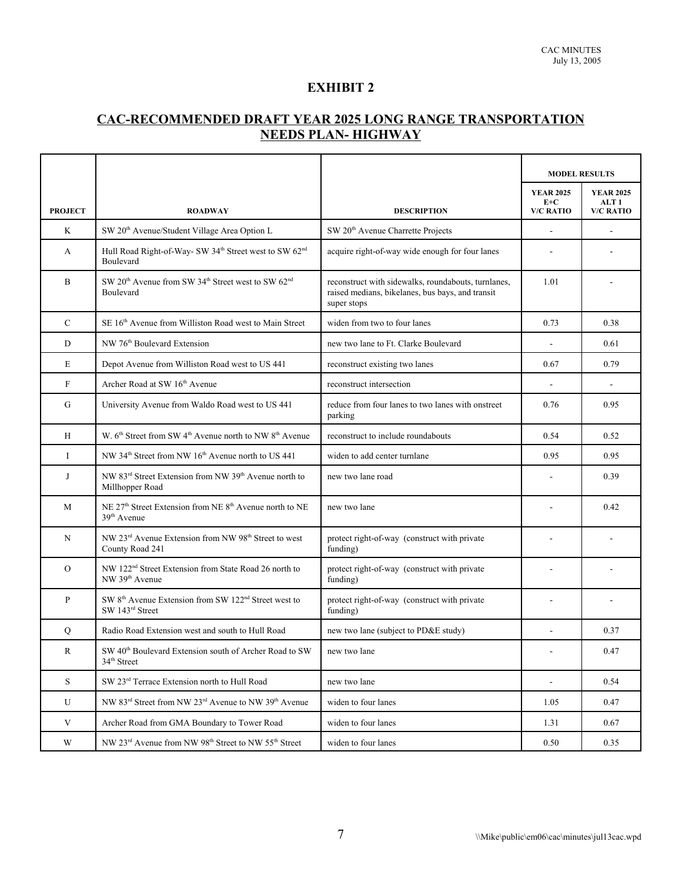### **EXHIBIT 2**

# **CAC-RECOMMENDED DRAFT YEAR 2025 LONG RANGE TRANSPORTATION NEEDS PLAN- HIGHWAY**

|                |                                                                                                            |                                                                                                                        | <b>MODEL RESULTS</b>                          |                                                          |
|----------------|------------------------------------------------------------------------------------------------------------|------------------------------------------------------------------------------------------------------------------------|-----------------------------------------------|----------------------------------------------------------|
| <b>PROJECT</b> | <b>ROADWAY</b>                                                                                             | <b>DESCRIPTION</b>                                                                                                     | <b>YEAR 2025</b><br>$E+C$<br><b>V/C RATIO</b> | <b>YEAR 2025</b><br>ALT <sub>1</sub><br><b>V/C RATIO</b> |
| K              | SW 20 <sup>th</sup> Avenue/Student Village Area Option L                                                   | SW 20 <sup>th</sup> Avenue Charrette Projects                                                                          | $\overline{\phantom{0}}$                      |                                                          |
| A              | Hull Road Right-of-Way- SW 34 <sup>th</sup> Street west to SW 62 <sup>nd</sup><br>Boulevard                | acquire right-of-way wide enough for four lanes                                                                        |                                               |                                                          |
| B              | SW 20 <sup>th</sup> Avenue from SW 34 <sup>th</sup> Street west to SW 62 <sup>nd</sup><br><b>Boulevard</b> | reconstruct with sidewalks, roundabouts, turnlanes,<br>raised medians, bikelanes, bus bays, and transit<br>super stops | 1.01                                          |                                                          |
| $\mathbf C$    | SE 16 <sup>th</sup> Avenue from Williston Road west to Main Street                                         | widen from two to four lanes                                                                                           | 0.73                                          | 0.38                                                     |
| D              | NW 76 <sup>th</sup> Boulevard Extension                                                                    | new two lane to Ft. Clarke Boulevard                                                                                   |                                               | 0.61                                                     |
| E              | Depot Avenue from Williston Road west to US 441                                                            | reconstruct existing two lanes                                                                                         | 0.67                                          | 0.79                                                     |
| $\mathbf F$    | Archer Road at SW 16th Avenue                                                                              | reconstruct intersection                                                                                               |                                               |                                                          |
| G              | University Avenue from Waldo Road west to US 441                                                           | reduce from four lanes to two lanes with onstreet<br>parking                                                           | 0.76                                          | 0.95                                                     |
| H              | W. 6 <sup>th</sup> Street from SW 4 <sup>th</sup> Avenue north to NW 8 <sup>th</sup> Avenue                | reconstruct to include roundabouts                                                                                     | 0.54                                          | 0.52                                                     |
| $\mathbf I$    | NW 34 <sup>th</sup> Street from NW 16 <sup>th</sup> Avenue north to US 441                                 | widen to add center turnlane                                                                                           | 0.95                                          | 0.95                                                     |
| J              | NW 83 <sup>rd</sup> Street Extension from NW 39 <sup>th</sup> Avenue north to<br>Millhopper Road           | new two lane road                                                                                                      |                                               | 0.39                                                     |
| M              | NE 27 <sup>th</sup> Street Extension from NE 8 <sup>th</sup> Avenue north to NE<br>39 <sup>th</sup> Avenue | new two lane                                                                                                           |                                               | 0.42                                                     |
| N              | NW 23 <sup>rd</sup> Avenue Extension from NW 98 <sup>th</sup> Street to west<br>County Road 241            | protect right-of-way (construct with private<br>funding)                                                               |                                               |                                                          |
| $\Omega$       | NW 122 <sup>nd</sup> Street Extension from State Road 26 north to<br>NW 39 <sup>th</sup> Avenue            | protect right-of-way (construct with private<br>funding)                                                               | $\blacksquare$                                |                                                          |
| $\mathbf{P}$   | SW 8 <sup>th</sup> Avenue Extension from SW 122 <sup>nd</sup> Street west to<br>SW 143rd Street            | protect right-of-way (construct with private<br>funding)                                                               |                                               |                                                          |
| $\mathbf Q$    | Radio Road Extension west and south to Hull Road                                                           | new two lane (subject to PD&E study)                                                                                   |                                               | 0.37                                                     |
| R              | SW 40 <sup>th</sup> Boulevard Extension south of Archer Road to SW<br>$34^{\rm th}$ Street                 | new two lane                                                                                                           |                                               | 0.47                                                     |
| ${\bf S}$      | SW 23rd Terrace Extension north to Hull Road                                                               | new two lane                                                                                                           | $\omega_{\rm c}$                              | 0.54                                                     |
| U              | NW 83 <sup>rd</sup> Street from NW 23 <sup>rd</sup> Avenue to NW 39 <sup>th</sup> Avenue                   | widen to four lanes                                                                                                    | 1.05                                          | 0.47                                                     |
| V              | Archer Road from GMA Boundary to Tower Road                                                                | widen to four lanes                                                                                                    | 1.31                                          | 0.67                                                     |
| W              | NW 23 <sup>rd</sup> Avenue from NW 98 <sup>th</sup> Street to NW 55 <sup>th</sup> Street                   | widen to four lanes                                                                                                    | 0.50                                          | 0.35                                                     |